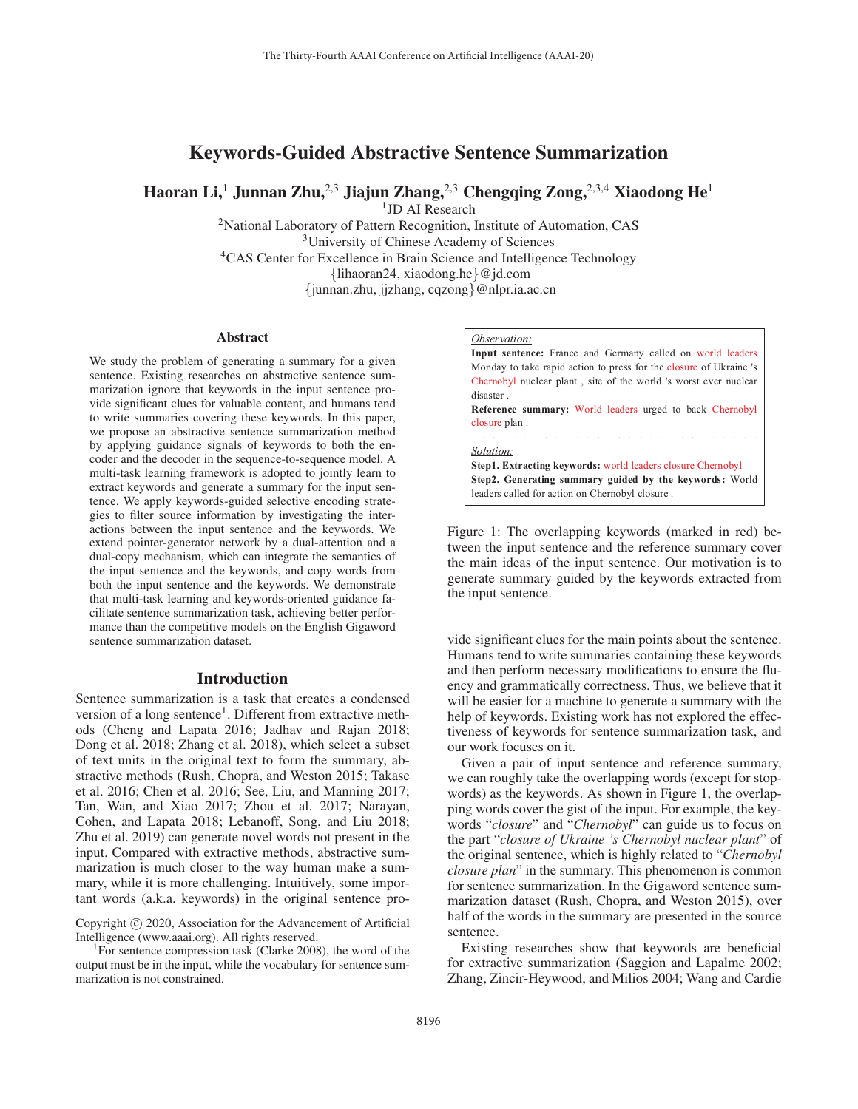# Keywords-Guided Abstractive Sentence Summarization

Haoran Li,<sup>1</sup> Junnan Zhu,<sup>2,3</sup> Jiajun Zhang,<sup>2,3</sup> Chengqing Zong,<sup>2,3,4</sup> Xiaodong He<sup>1</sup>

<sup>1</sup>JD AI Research

<sup>2</sup>National Laboratory of Pattern Recognition, Institute of Automation, CAS 3University of Chinese Academy of Sciences <sup>4</sup>CAS Center for Excellence in Brain Science and Intelligence Technology {lihaoran24, xiaodong.he}@jd.com {junnan.zhu, jjzhang, cqzong}@nlpr.ia.ac.cn

#### **Abstract**

We study the problem of generating a summary for a given sentence. Existing researches on abstractive sentence summarization ignore that keywords in the input sentence provide significant clues for valuable content, and humans tend to write summaries covering these keywords. In this paper, we propose an abstractive sentence summarization method by applying guidance signals of keywords to both the encoder and the decoder in the sequence-to-sequence model. A multi-task learning framework is adopted to jointly learn to extract keywords and generate a summary for the input sentence. We apply keywords-guided selective encoding strategies to filter source information by investigating the interactions between the input sentence and the keywords. We extend pointer-generator network by a dual-attention and a dual-copy mechanism, which can integrate the semantics of the input sentence and the keywords, and copy words from both the input sentence and the keywords. We demonstrate that multi-task learning and keywords-oriented guidance facilitate sentence summarization task, achieving better performance than the competitive models on the English Gigaword sentence summarization dataset.

### Introduction

Sentence summarization is a task that creates a condensed version of a long sentence<sup>1</sup>. Different from extractive methods (Cheng and Lapata 2016; Jadhav and Rajan 2018; Dong et al. 2018; Zhang et al. 2018), which select a subset of text units in the original text to form the summary, abstractive methods (Rush, Chopra, and Weston 2015; Takase et al. 2016; Chen et al. 2016; See, Liu, and Manning 2017; Tan, Wan, and Xiao 2017; Zhou et al. 2017; Narayan, Cohen, and Lapata 2018; Lebanoff, Song, and Liu 2018; Zhu et al. 2019) can generate novel words not present in the input. Compared with extractive methods, abstractive summarization is much closer to the way human make a summary, while it is more challenging. Intuitively, some important words (a.k.a. keywords) in the original sentence pro-



**Input sentence:** France and Germany called on world leaders Monday to take rapid action to press for the closure of Ukraine 's Chernobyl nuclear plant , site of the world 's worst ever nuclear disaster . **Reference summary:** World leaders urged to back Chernobyl closure plan . *Solution:* **Step1. Extracting keywords:** world leaders closure Chernobyl **Step2. Generating summary guided by the keywords:** World leaders called for action on Chernobyl closure .

Figure 1: The overlapping keywords (marked in red) between the input sentence and the reference summary cover the main ideas of the input sentence. Our motivation is to generate summary guided by the keywords extracted from the input sentence.

vide significant clues for the main points about the sentence. Humans tend to write summaries containing these keywords and then perform necessary modifications to ensure the fluency and grammatically correctness. Thus, we believe that it will be easier for a machine to generate a summary with the help of keywords. Existing work has not explored the effectiveness of keywords for sentence summarization task, and our work focuses on it.

Given a pair of input sentence and reference summary, we can roughly take the overlapping words (except for stopwords) as the keywords. As shown in Figure 1, the overlapping words cover the gist of the input. For example, the keywords "*closure*" and "*Chernobyl*" can guide us to focus on the part "*closure of Ukraine 's Chernobyl nuclear plant*" of the original sentence, which is highly related to "*Chernobyl closure plan*" in the summary. This phenomenon is common for sentence summarization. In the Gigaword sentence summarization dataset (Rush, Chopra, and Weston 2015), over half of the words in the summary are presented in the source sentence.

Existing researches show that keywords are beneficial for extractive summarization (Saggion and Lapalme 2002; Zhang, Zincir-Heywood, and Milios 2004; Wang and Cardie

Copyright  $\odot$  2020, Association for the Advancement of Artificial Intelligence (www.aaai.org). All rights reserved.

<sup>&</sup>lt;sup>1</sup>For sentence compression task (Clarke 2008), the word of the output must be in the input, while the vocabulary for sentence summarization is not constrained.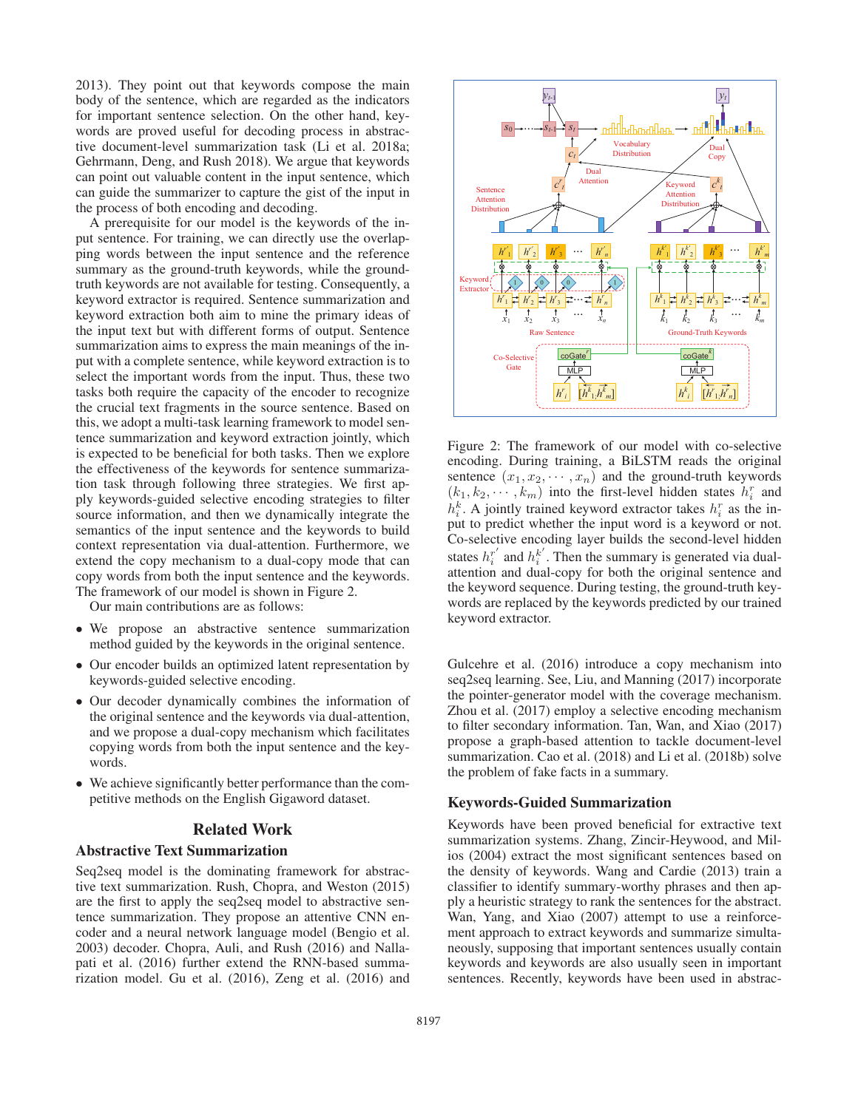2013). They point out that keywords compose the main body of the sentence, which are regarded as the indicators for important sentence selection. On the other hand, keywords are proved useful for decoding process in abstractive document-level summarization task (Li et al. 2018a; Gehrmann, Deng, and Rush 2018). We argue that keywords can point out valuable content in the input sentence, which can guide the summarizer to capture the gist of the input in the process of both encoding and decoding.

A prerequisite for our model is the keywords of the input sentence. For training, we can directly use the overlapping words between the input sentence and the reference summary as the ground-truth keywords, while the groundtruth keywords are not available for testing. Consequently, a keyword extractor is required. Sentence summarization and keyword extraction both aim to mine the primary ideas of the input text but with different forms of output. Sentence summarization aims to express the main meanings of the input with a complete sentence, while keyword extraction is to select the important words from the input. Thus, these two tasks both require the capacity of the encoder to recognize the crucial text fragments in the source sentence. Based on this, we adopt a multi-task learning framework to model sentence summarization and keyword extraction jointly, which is expected to be beneficial for both tasks. Then we explore the effectiveness of the keywords for sentence summarization task through following three strategies. We first apply keywords-guided selective encoding strategies to filter source information, and then we dynamically integrate the semantics of the input sentence and the keywords to build context representation via dual-attention. Furthermore, we extend the copy mechanism to a dual-copy mode that can copy words from both the input sentence and the keywords. The framework of our model is shown in Figure 2.

Our main contributions are as follows:

- We propose an abstractive sentence summarization method guided by the keywords in the original sentence.
- Our encoder builds an optimized latent representation by keywords-guided selective encoding.
- Our decoder dynamically combines the information of the original sentence and the keywords via dual-attention, and we propose a dual-copy mechanism which facilitates copying words from both the input sentence and the keywords.
- We achieve significantly better performance than the competitive methods on the English Gigaword dataset.

### Related Work

### Abstractive Text Summarization

Seq2seq model is the dominating framework for abstractive text summarization. Rush, Chopra, and Weston (2015) are the first to apply the seq2seq model to abstractive sentence summarization. They propose an attentive CNN encoder and a neural network language model (Bengio et al. 2003) decoder. Chopra, Auli, and Rush (2016) and Nallapati et al. (2016) further extend the RNN-based summarization model. Gu et al. (2016), Zeng et al. (2016) and



Figure 2: The framework of our model with co-selective encoding. During training, a BiLSTM reads the original sentence  $(x_1, x_2, \dots, x_n)$  and the ground-truth keywords  $(k_1, k_2, \dots, k_m)$  into the first-level hidden states  $h_i^r$  and  $h^k$ . A jointly trained keyword extractor takes  $h^r$  as the in $n_i$ . A jointly trained keyword extractor takes  $n_i$  as the in-<br>put to predict whether the input word is a keyword or not.  $i_t^k$ . A jointly trained keyword extractor takes  $h_i^r$  as the in-<br>int to predict whether the input word is a keyword or not Co-selective encoding layer builds the second-level hidden states  $h_i^r$  and  $h_i^k$ . Then the summary is generated via dual-<br>attention and dual-copy for both the original sentence and attention and dual-copy for both the original sentence and the keyword sequence. During testing, the ground-truth keywords are replaced by the keywords predicted by our trained keyword extractor.

Gulcehre et al. (2016) introduce a copy mechanism into seq2seq learning. See, Liu, and Manning (2017) incorporate the pointer-generator model with the coverage mechanism. Zhou et al. (2017) employ a selective encoding mechanism to filter secondary information. Tan, Wan, and Xiao (2017) propose a graph-based attention to tackle document-level summarization. Cao et al. (2018) and Li et al. (2018b) solve the problem of fake facts in a summary.

#### Keywords-Guided Summarization

Keywords have been proved beneficial for extractive text summarization systems. Zhang, Zincir-Heywood, and Milios (2004) extract the most significant sentences based on the density of keywords. Wang and Cardie (2013) train a classifier to identify summary-worthy phrases and then apply a heuristic strategy to rank the sentences for the abstract. Wan, Yang, and Xiao (2007) attempt to use a reinforcement approach to extract keywords and summarize simultaneously, supposing that important sentences usually contain keywords and keywords are also usually seen in important sentences. Recently, keywords have been used in abstrac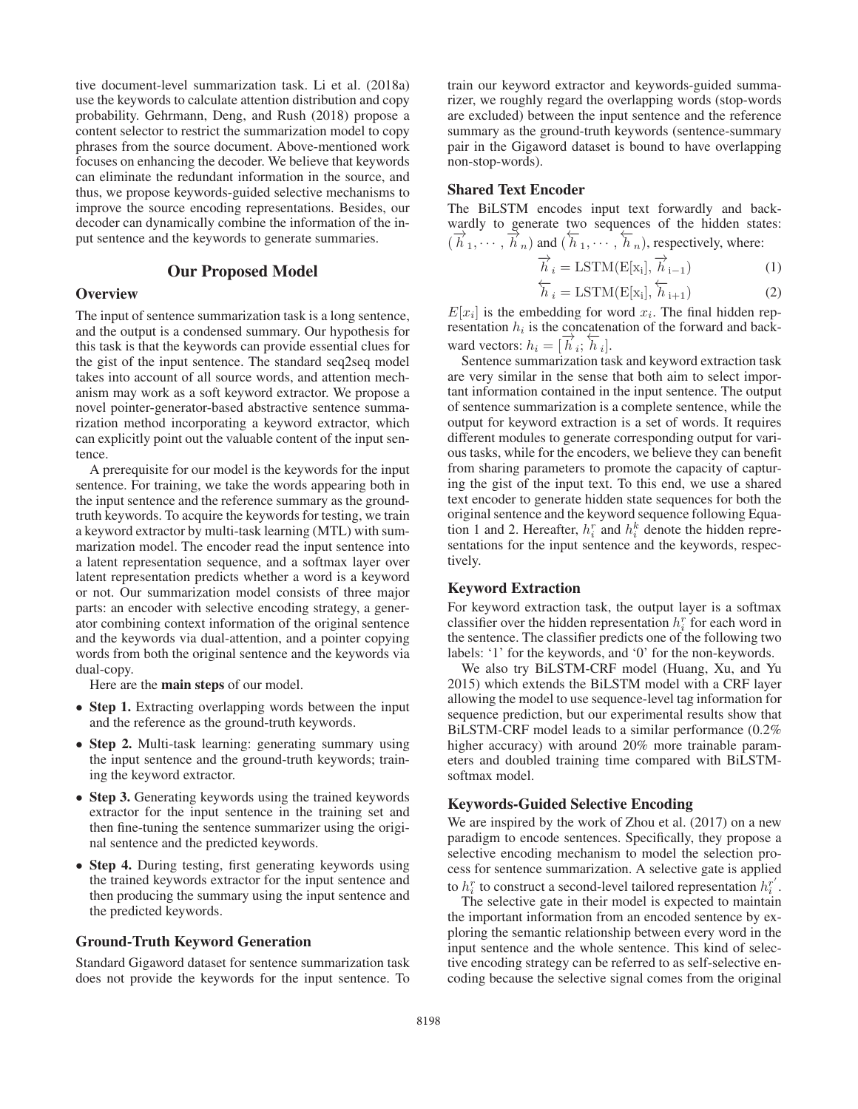tive document-level summarization task. Li et al. (2018a) use the keywords to calculate attention distribution and copy probability. Gehrmann, Deng, and Rush (2018) propose a content selector to restrict the summarization model to copy phrases from the source document. Above-mentioned work focuses on enhancing the decoder. We believe that keywords can eliminate the redundant information in the source, and thus, we propose keywords-guided selective mechanisms to improve the source encoding representations. Besides, our decoder can dynamically combine the information of the input sentence and the keywords to generate summaries.

### Our Proposed Model

## **Overview**

The input of sentence summarization task is a long sentence, and the output is a condensed summary. Our hypothesis for this task is that the keywords can provide essential clues for the gist of the input sentence. The standard seq2seq model takes into account of all source words, and attention mechanism may work as a soft keyword extractor. We propose a novel pointer-generator-based abstractive sentence summarization method incorporating a keyword extractor, which can explicitly point out the valuable content of the input sentence.

A prerequisite for our model is the keywords for the input sentence. For training, we take the words appearing both in the input sentence and the reference summary as the groundtruth keywords. To acquire the keywords for testing, we train a keyword extractor by multi-task learning (MTL) with summarization model. The encoder read the input sentence into a latent representation sequence, and a softmax layer over latent representation predicts whether a word is a keyword or not. Our summarization model consists of three major parts: an encoder with selective encoding strategy, a generator combining context information of the original sentence and the keywords via dual-attention, and a pointer copying words from both the original sentence and the keywords via dual-copy.

Here are the main steps of our model.

- Step 1. Extracting overlapping words between the input and the reference as the ground-truth keywords.
- Step 2. Multi-task learning: generating summary using the input sentence and the ground-truth keywords; training the keyword extractor.
- Step 3. Generating keywords using the trained keywords extractor for the input sentence in the training set and then fine-tuning the sentence summarizer using the original sentence and the predicted keywords.
- Step 4. During testing, first generating keywords using the trained keywords extractor for the input sentence and then producing the summary using the input sentence and the predicted keywords.

#### Ground-Truth Keyword Generation

Standard Gigaword dataset for sentence summarization task does not provide the keywords for the input sentence. To

train our keyword extractor and keywords-guided summarizer, we roughly regard the overlapping words (stop-words are excluded) between the input sentence and the reference summary as the ground-truth keywords (sentence-summary pair in the Gigaword dataset is bound to have overlapping non-stop-words).

### Shared Text Encoder

The BiLSTM encodes input text forwardly and backwardly to generate two sequences of the hidden states:  $(\vec{h}_1, \dots, \vec{h}_n)$  and  $(\vec{h}_1, \dots, \vec{h}_n)$ , respectively, where:

$$
\overrightarrow{h}_i = \text{LSTM}(\mathbf{E}[\mathbf{x}_i], \overrightarrow{h}_{i-1})
$$
(1)

$$
\overleftarrow{h}_i = \text{LSTM}(\text{E}[\text{x}_i], \overleftarrow{h}_{i+1})
$$
\n(2)

 $E[x_i]$  is the embedding for word  $x_i$ . The final hidden rep-<br>resentation  $h_i$  is the concatenation of the forward and backresentation  $h_i$  is the concatenation of the forward and backward vectors:  $h_i = [\overrightarrow{h}_i; \overleftarrow{h}_i]$ .<br>Sentence summarization ta

Sentence summarization task and keyword extraction task are very similar in the sense that both aim to select important information contained in the input sentence. The output of sentence summarization is a complete sentence, while the output for keyword extraction is a set of words. It requires different modules to generate corresponding output for various tasks, while for the encoders, we believe they can benefit from sharing parameters to promote the capacity of capturing the gist of the input text. To this end, we use a shared text encoder to generate hidden state sequences for both the original sentence and the keyword sequence following Equation 1 and 2. Hereafter,  $h_i^r$  and  $h_i^k$  denote the hidden repre-<br>sentations for the input sentence and the keywords respecsentations for the input sentence and the keywords, respectively.

### Keyword Extraction

For keyword extraction task, the output layer is a softmax classifier over the hidden representation  $h_i^r$  for each word in the sentence. The classifier predicts one of the following two the sentence. The classifier predicts one of the following two labels: '1' for the keywords, and '0' for the non-keywords.

We also try BiLSTM-CRF model (Huang, Xu, and Yu 2015) which extends the BiLSTM model with a CRF layer allowing the model to use sequence-level tag information for sequence prediction, but our experimental results show that BiLSTM-CRF model leads to a similar performance (0.2% higher accuracy) with around 20% more trainable parameters and doubled training time compared with BiLSTMsoftmax model.

#### Keywords-Guided Selective Encoding

We are inspired by the work of Zhou et al. (2017) on a new paradigm to encode sentences. Specifically, they propose a selective encoding mechanism to model the selection process for sentence summarization. A selective gate is applied to  $h_i^r$  to construct a second-level tailored representation  $h_i^{r'}$ .<br>The selective gate in their model is expected to maintain

The selective gate in their model is expected to maintain the important information from an encoded sentence by exploring the semantic relationship between every word in the input sentence and the whole sentence. This kind of selective encoding strategy can be referred to as self-selective encoding because the selective signal comes from the original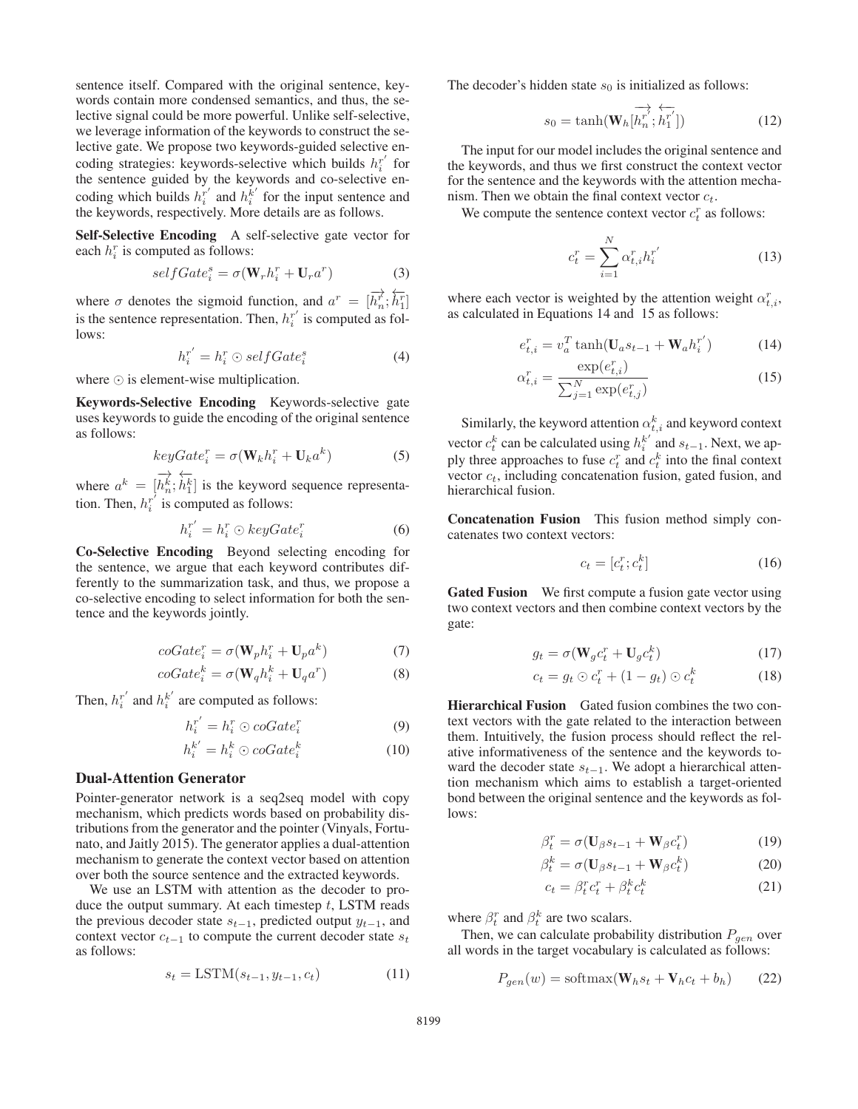sentence itself. Compared with the original sentence, keywords contain more condensed semantics, and thus, the selective signal could be more powerful. Unlike self-selective, we leverage information of the keywords to construct the selective gate. We propose two keywords-guided selective encoding strategies: keywords-selective which builds  $h_i^{r'}$  for<br>the sentence guided by the keywords and co-selective enthe sentence guided by the keywords and co-selective encoding which builds  $h_i^{r'}$  and  $h_i^{k'}$  for the input sentence and the keywords respectively. More details are as follows the keywords, respectively. More details are as follows.

Self-Selective Encoding A self-selective gate vector for each  $h_i^r$  is computed as follows:

$$
selfGate_i^s = \sigma(\mathbf{W}_r h_i^r + \mathbf{U}_r a^r)
$$
 (3)

where  $\sigma$  denotes the sigmoid function, and  $a^r = [\vec{h}_n^r; \hat{h}_1^r]$  $\left[ \begin{smallmatrix} h_1^r \ h_1^r \end{smallmatrix} \right]$ is the sentence representation. Then,  $h_i^{r'}$  is computed as follows: lows:

$$
h_i^{r'} = h_i^r \odot selfGate_i^s \tag{4}
$$

where  $\odot$  is element-wise multiplication.

Keywords-Selective Encoding Keywords-selective gate uses keywords to guide the encoding of the original sentence as follows:

$$
keyGate_i^r = \sigma(\mathbf{W}_k h_i^r + \mathbf{U}_k a^k)
$$
 (5)

where  $a^k = [\overrightarrow{h_n^k};$ ←−  $h_1^k$ ] is the keyword sequence representa-<br>computed as follows: tion. Then,  $h_i^{r'}$  is computed as follows:

$$
h_i^{r'} = h_i^r \odot keyGate_i^r \tag{6}
$$

Co-Selective Encoding Beyond selecting encoding for the sentence, we argue that each keyword contributes differently to the summarization task, and thus, we propose a co-selective encoding to select information for both the sentence and the keywords jointly.

$$
coGate_i^r = \sigma(\mathbf{W}_p h_i^r + \mathbf{U}_p a^k)
$$
 (7)

$$
coGate_i^k = \sigma(\mathbf{W}_q h_i^k + \mathbf{U}_q a^r)
$$
 (8)

Then,  $h_i^{r'}$  and  $h_i^{k'}$  are computed as follows:

$$
h_i^{r'} = h_i^r \odot \text{coGate}_i^r \tag{9}
$$

$$
h_i^{k'} = h_i^k \odot \text{coGate}_i^k \tag{10}
$$

### Dual-Attention Generator

Pointer-generator network is a seq2seq model with copy mechanism, which predicts words based on probability distributions from the generator and the pointer (Vinyals, Fortunato, and Jaitly 2015). The generator applies a dual-attention mechanism to generate the context vector based on attention over both the source sentence and the extracted keywords.

We use an LSTM with attention as the decoder to produce the output summary. At each timestep  $t$ , LSTM reads the previous decoder state  $s_{t-1}$ , predicted output  $y_{t-1}$ , and context vector  $c_{t-1}$  to compute the current decoder state  $s_t$ as follows:

$$
s_t = \text{LSTM}(s_{t-1}, y_{t-1}, c_t)
$$
\n<sup>(11)</sup>

The decoder's hidden state  $s_0$  is initialized as follows:

$$
s_0 = \tanh(\mathbf{W}_h[\overrightarrow{h_n^r}; \overleftarrow{h_1'}])
$$
 (12)

The input for our model includes the original sentence and the keywords, and thus we first construct the context vector for the sentence and the keywords with the attention mechanism. Then we obtain the final context vector  $c_t$ .

We compute the sentence context vector  $c_t^r$  as follows:

$$
c_t^r = \sum_{i=1}^N \alpha_{t,i}^r h_i^{r'} \tag{13}
$$

where each vector is weighted by the attention weight  $\alpha_{t,i}^r$ , as calculated in Equations 14 and 15 as follows: as calculated in Equations 14 and 15 as follows:

$$
e_{t,i}^r = v_a^T \tanh(\mathbf{U}_a s_{t-1} + \mathbf{W}_a h_i^{r'}) \tag{14}
$$

$$
\alpha_{t,i}^{r} = \frac{\exp(e_{t,i}^{r})}{\sum_{j=1}^{N} \exp(e_{t,j}^{r})}
$$
\n(15)

Similarly, the keyword attention  $\alpha_{t,i}^k$  and keyword context vector  $c_t^k$  can be calculated using  $h_i^{k'}$  and  $s_{t-1}$ . Next, we ap-<br>ply three approaches to five  $c^r$  and  $c^k$  into the final context ply three approaches to fuse  $c_t^r$  and  $c_t^k$  into the final context<br>vector  $c_t$  including concatenation fusion gated fusion and vector  $c_t$ , including concatenation fusion, gated fusion, and hierarchical fusion.

Concatenation Fusion This fusion method simply concatenates two context vectors:

$$
c_t = [c_t^r; c_t^k]
$$
\n<sup>(16)</sup>

Gated Fusion We first compute a fusion gate vector using two context vectors and then combine context vectors by the gate:

$$
g_t = \sigma(\mathbf{W}_g c_t^r + \mathbf{U}_g c_t^k)
$$
 (17)

$$
c_t = g_t \odot c_t^r + (1 - g_t) \odot c_t^k \tag{18}
$$

Hierarchical Fusion Gated fusion combines the two context vectors with the gate related to the interaction between them. Intuitively, the fusion process should reflect the relative informativeness of the sentence and the keywords toward the decoder state  $s_{t-1}$ . We adopt a hierarchical attention mechanism which aims to establish a target-oriented bond between the original sentence and the keywords as follows:

$$
\beta_t^r = \sigma(\mathbf{U}_{\beta} s_{t-1} + \mathbf{W}_{\beta} c_t^r) \tag{19}
$$

$$
\beta_t^k = \sigma(\mathbf{U}_{\beta} s_{t-1} + \mathbf{W}_{\beta} c_t^k)
$$
(20)

$$
c_t = \beta_t^r c_t^r + \beta_t^k c_t^k \tag{21}
$$

where  $\beta_t^r$  and  $\beta_t^k$  are two scalars.<br>Then we can calculate probably

Then, we can calculate probability distribution  $P_{gen}$  over all words in the target vocabulary is calculated as follows:

$$
P_{gen}(w) = \text{softmax}(\mathbf{W}_h s_t + \mathbf{V}_h c_t + b_h)
$$
 (22)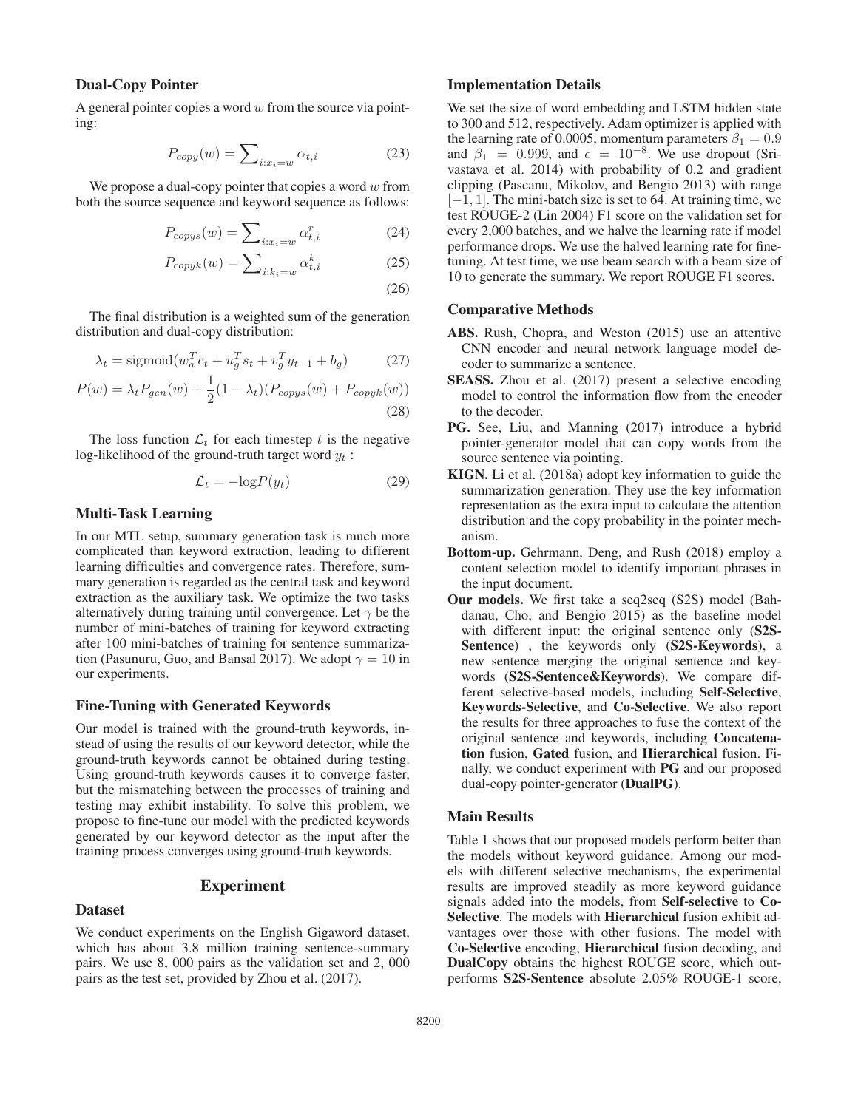# Dual-Copy Pointer

A general pointer copies a word  $w$  from the source via pointing:

$$
P_{copy}(w) = \sum_{i:x_i=w} \alpha_{t,i} \tag{23}
$$

We propose a dual-copy pointer that copies a word  $w$  from both the source sequence and keyword sequence as follows:

$$
P_{copys}(w) = \sum_{i:x_i=w} \alpha_{t,i}^r \tag{24}
$$

$$
P_{copyk}(w) = \sum_{i:k_i=w} \alpha_{t,i}^k \tag{25}
$$

(26)

The final distribution is a weighted sum of the generation distribution and dual-copy distribution:

$$
\lambda_t = \text{sigmoid}(w_a^T c_t + u_g^T s_t + v_g^T y_{t-1} + b_g) \tag{27}
$$

$$
P(w) = \lambda_t P_{gen}(w) + \frac{1}{2}(1 - \lambda_t)(P_{copys}(w) + P_{copyk}(w))
$$
\n(28)

The loss function  $\mathcal{L}_t$  for each timestep t is the negative log-likelihood of the ground-truth target word  $y_t$ :

$$
\mathcal{L}_t = -\log P(y_t) \tag{29}
$$

# Multi-Task Learning

In our MTL setup, summary generation task is much more complicated than keyword extraction, leading to different learning difficulties and convergence rates. Therefore, summary generation is regarded as the central task and keyword extraction as the auxiliary task. We optimize the two tasks alternatively during training until convergence. Let  $\gamma$  be the number of mini-batches of training for keyword extracting after 100 mini-batches of training for sentence summarization (Pasunuru, Guo, and Bansal 2017). We adopt  $\gamma = 10$  in our experiments.

### Fine-Tuning with Generated Keywords

Our model is trained with the ground-truth keywords, instead of using the results of our keyword detector, while the ground-truth keywords cannot be obtained during testing. Using ground-truth keywords causes it to converge faster, but the mismatching between the processes of training and testing may exhibit instability. To solve this problem, we propose to fine-tune our model with the predicted keywords generated by our keyword detector as the input after the training process converges using ground-truth keywords.

## Experiment

#### Dataset

We conduct experiments on the English Gigaword dataset, which has about 3.8 million training sentence-summary pairs. We use 8, 000 pairs as the validation set and 2, 000 pairs as the test set, provided by Zhou et al. (2017).

### Implementation Details

We set the size of word embedding and LSTM hidden state to 300 and 512, respectively. Adam optimizer is applied with the learning rate of 0.0005, momentum parameters  $\beta_1 = 0.9$ and  $\beta_1 = 0.999$ , and  $\epsilon = 10^{-8}$ . We use dropout (Srivastava et al. 2014) with probability of 0.2 and gradient clipping (Pascanu, Mikolov, and Bengio 2013) with range  $[-1, 1]$ . The mini-batch size is set to 64. At training time, we test ROUGE-2 (Lin 2004) F1 score on the validation set for every 2,000 batches, and we halve the learning rate if model performance drops. We use the halved learning rate for finetuning. At test time, we use beam search with a beam size of 10 to generate the summary. We report ROUGE F1 scores.

#### Comparative Methods

- ABS. Rush, Chopra, and Weston (2015) use an attentive CNN encoder and neural network language model decoder to summarize a sentence.
- SEASS. Zhou et al. (2017) present a selective encoding model to control the information flow from the encoder to the decoder.
- PG. See, Liu, and Manning (2017) introduce a hybrid pointer-generator model that can copy words from the source sentence via pointing.
- KIGN. Li et al. (2018a) adopt key information to guide the summarization generation. They use the key information representation as the extra input to calculate the attention distribution and the copy probability in the pointer mechanism.
- Bottom-up. Gehrmann, Deng, and Rush (2018) employ a content selection model to identify important phrases in the input document.
- Our models. We first take a seq2seq (S2S) model (Bahdanau, Cho, and Bengio 2015) as the baseline model with different input: the original sentence only (S2S-Sentence), the keywords only (S2S-Keywords), a new sentence merging the original sentence and keywords (S2S-Sentence&Keywords). We compare different selective-based models, including Self-Selective, Keywords-Selective, and Co-Selective. We also report the results for three approaches to fuse the context of the original sentence and keywords, including Concatenation fusion, Gated fusion, and Hierarchical fusion. Finally, we conduct experiment with PG and our proposed dual-copy pointer-generator (DualPG).

### Main Results

Table 1 shows that our proposed models perform better than the models without keyword guidance. Among our models with different selective mechanisms, the experimental results are improved steadily as more keyword guidance signals added into the models, from Self-selective to Co-Selective. The models with **Hierarchical** fusion exhibit advantages over those with other fusions. The model with Co-Selective encoding, Hierarchical fusion decoding, and DualCopy obtains the highest ROUGE score, which outperforms S2S-Sentence absolute 2.05% ROUGE-1 score,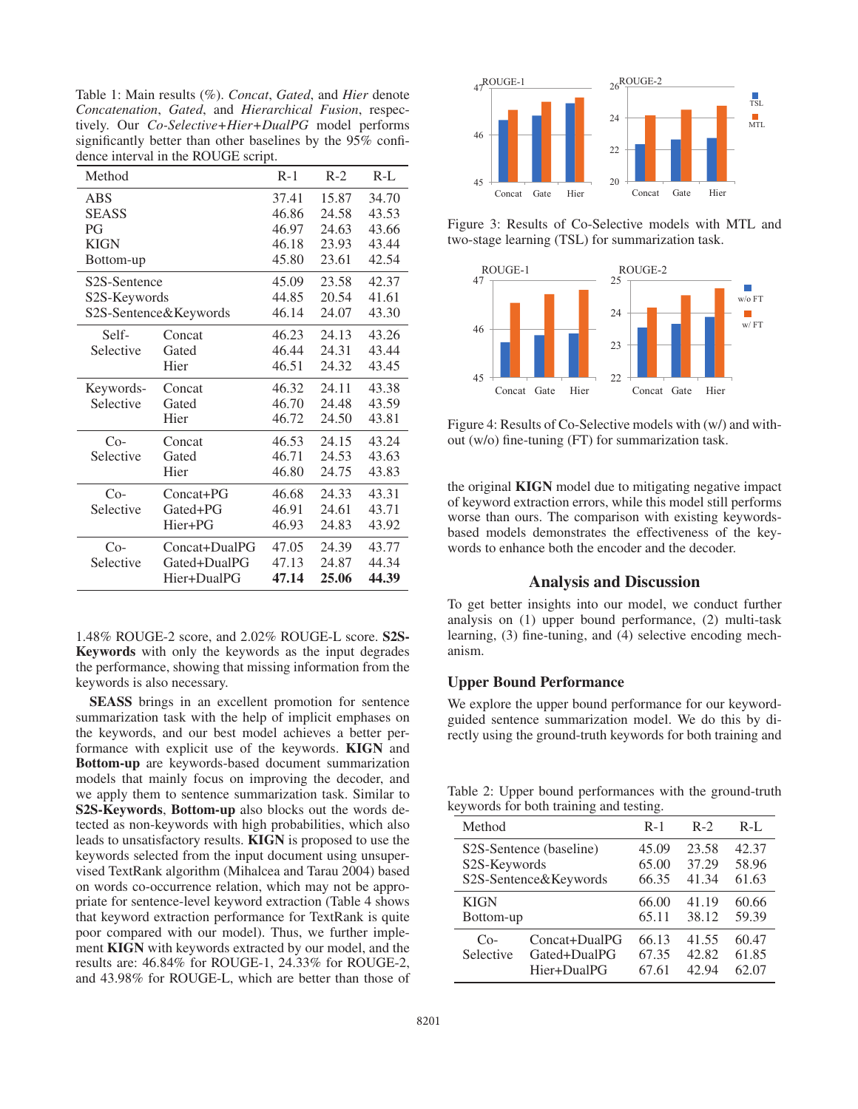Table 1: Main results (%). *Concat*, *Gated*, and *Hier* denote *Concatenation*, *Gated*, and *Hierarchical Fusion*, respectively. Our *Co-Selective+Hier+DualPG* model performs significantly better than other baselines by the 95% confidence interval in the ROUGE script.

| Method                    |               | $R-1$ | $R-2$ | $R-L$ |
|---------------------------|---------------|-------|-------|-------|
| ABS                       |               | 37.41 | 15.87 | 34.70 |
| <b>SEASS</b>              |               | 46.86 | 24.58 | 43.53 |
| PG                        |               | 46.97 | 24.63 | 43.66 |
| <b>KIGN</b>               |               | 46.18 | 23.93 | 43.44 |
| Bottom-up                 |               | 45.80 | 23.61 | 42.54 |
| S <sub>2</sub> S-Sentence |               | 45.09 | 23.58 | 42.37 |
| S2S-Keywords              |               | 44.85 | 20.54 | 41.61 |
| S2S-Sentence&Keywords     |               | 46.14 | 24.07 | 43.30 |
| Self-                     | Concat        | 46.23 | 24.13 | 43.26 |
| Selective                 | Gated         | 46.44 | 24.31 | 43.44 |
|                           | Hier          | 46.51 | 24.32 | 43.45 |
| Keywords-                 | Concat        | 46.32 | 24.11 | 43.38 |
| Selective                 | Gated         | 46.70 | 24.48 | 43.59 |
|                           | Hier          | 46.72 | 24.50 | 43.81 |
| $Co-$                     | Concat        | 46.53 | 24.15 | 43.24 |
| Selective                 | Gated         | 46.71 | 24.53 | 43.63 |
|                           | Hier          | 46.80 | 24.75 | 43.83 |
| $Co-$                     | $Concat+PG$   | 46.68 | 24.33 | 43.31 |
| Selective                 | Gated+PG      | 46.91 | 24.61 | 43.71 |
|                           | Hier+PG       | 46.93 | 24.83 | 43.92 |
| $Co-$                     | Concat+DualPG | 47.05 | 24.39 | 43.77 |
| Selective                 | Gated+DualPG  | 47.13 | 24.87 | 44.34 |
|                           | Hier+DualPG   | 47.14 | 25.06 | 44.39 |

1.48% ROUGE-2 score, and 2.02% ROUGE-L score. S2S-Keywords with only the keywords as the input degrades the performance, showing that missing information from the keywords is also necessary.

SEASS brings in an excellent promotion for sentence summarization task with the help of implicit emphases on the keywords, and our best model achieves a better performance with explicit use of the keywords. KIGN and Bottom-up are keywords-based document summarization models that mainly focus on improving the decoder, and we apply them to sentence summarization task. Similar to S2S-Keywords, Bottom-up also blocks out the words detected as non-keywords with high probabilities, which also leads to unsatisfactory results. KIGN is proposed to use the keywords selected from the input document using unsupervised TextRank algorithm (Mihalcea and Tarau 2004) based on words co-occurrence relation, which may not be appropriate for sentence-level keyword extraction (Table 4 shows that keyword extraction performance for TextRank is quite poor compared with our model). Thus, we further implement KIGN with keywords extracted by our model, and the results are: 46.84% for ROUGE-1, 24.33% for ROUGE-2, and 43.98% for ROUGE-L, which are better than those of



Figure 3: Results of Co-Selective models with MTL and two-stage learning (TSL) for summarization task.



Figure 4: Results of Co-Selective models with (w/) and without (w/o) fine-tuning (FT) for summarization task.

the original KIGN model due to mitigating negative impact of keyword extraction errors, while this model still performs worse than ours. The comparison with existing keywordsbased models demonstrates the effectiveness of the keywords to enhance both the encoder and the decoder.

### Analysis and Discussion

To get better insights into our model, we conduct further analysis on (1) upper bound performance, (2) multi-task learning, (3) fine-tuning, and (4) selective encoding mechanism.

#### Upper Bound Performance

We explore the upper bound performance for our keywordguided sentence summarization model. We do this by directly using the ground-truth keywords for both training and

Table 2: Upper bound performances with the ground-truth keywords for both training and testing.

| Method                                                                        |                                              | $R-1$                   | $R-2$                   | $R-I$ .                 |
|-------------------------------------------------------------------------------|----------------------------------------------|-------------------------|-------------------------|-------------------------|
| S <sub>2</sub> S-Sentence (baseline)<br>S2S-Keywords<br>S2S-Sentence&Keywords |                                              | 45.09<br>65.00<br>66.35 | 23.58<br>37.29<br>41.34 | 42.37<br>58.96<br>61.63 |
| <b>KIGN</b><br>Bottom-up                                                      |                                              | 66.00<br>65.11          | 41.19<br>38.12          | 60.66<br>59.39          |
| $Co-$<br>Selective                                                            | Concat+DualPG<br>Gated+DualPG<br>Hier+DualPG | 66.13<br>67.35<br>67.61 | 41.55<br>42.82<br>42.94 | 60.47<br>61.85<br>62.07 |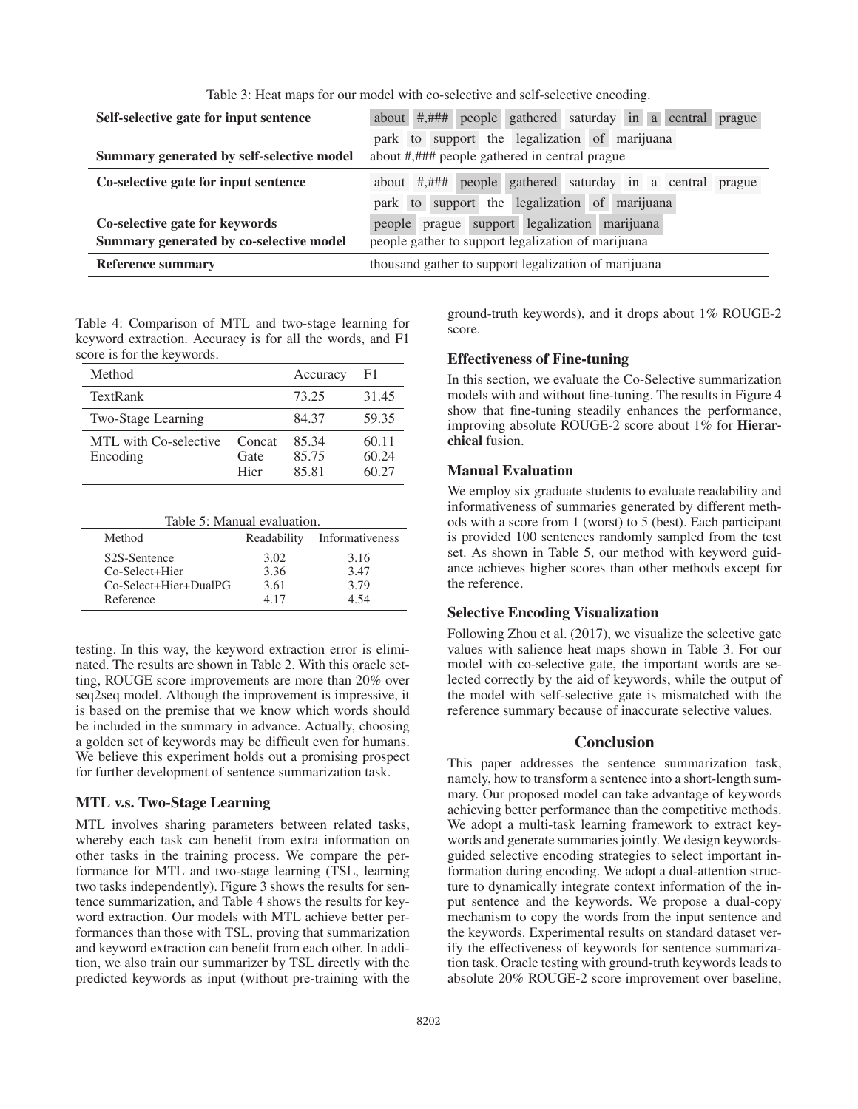| THE 2. THE HIGH TOT OUT HIGHET WILL CO SCIECHTE AND SCIT SCIECHTE CHOODING. |                                                                           |  |  |  |
|-----------------------------------------------------------------------------|---------------------------------------------------------------------------|--|--|--|
| Self-selective gate for input sentence                                      | people gathered saturday in a central<br>about $\#$ , $\#$ $\#$<br>prague |  |  |  |
|                                                                             | park to support the legalization of marijuana                             |  |  |  |
| Summary generated by self-selective model                                   | about #,### people gathered in central prague                             |  |  |  |
| Co-selective gate for input sentence                                        | about #,### people gathered saturday in a central<br>prague               |  |  |  |
|                                                                             | park to support the legalization of marijuana                             |  |  |  |
| Co-selective gate for keywords                                              | prague support legalization marijuana<br>people                           |  |  |  |
| Summary generated by co-selective model                                     | people gather to support legalization of marijuana                        |  |  |  |
| <b>Reference summary</b>                                                    | thousand gather to support legalization of marijuana                      |  |  |  |

Table 3: Heat maps for our model with co-selective and self-selective encoding.

Table 4: Comparison of MTL and two-stage learning for keyword extraction. Accuracy is for all the words, and F1 score is for the keywords.

| Method                            |                | Accuracy       | F1             |
|-----------------------------------|----------------|----------------|----------------|
| TextRank                          |                | 73.25          | 31.45          |
| Two-Stage Learning                |                | 84.37          | 59.35          |
| MTL with Co-selective<br>Encoding | Concat<br>Gate | 85.34<br>85.75 | 60.11<br>60.24 |
|                                   | Hier           | 85.81          | 60 27          |

Table 5: Manual evaluation.

| Method                    | Readability | Informativeness |
|---------------------------|-------------|-----------------|
| S <sub>2</sub> S-Sentence | 3.02        | 3.16            |
| Co-Select+Hier            | 3.36        | 3.47            |
| Co-Select+Hier+DualPG     | 3.61        | 3.79            |
| Reference                 | 4 17        | 4 54            |

testing. In this way, the keyword extraction error is eliminated. The results are shown in Table 2. With this oracle setting, ROUGE score improvements are more than 20% over seq2seq model. Although the improvement is impressive, it is based on the premise that we know which words should be included in the summary in advance. Actually, choosing a golden set of keywords may be difficult even for humans. We believe this experiment holds out a promising prospect for further development of sentence summarization task.

#### MTL v.s. Two-Stage Learning

MTL involves sharing parameters between related tasks, whereby each task can benefit from extra information on other tasks in the training process. We compare the performance for MTL and two-stage learning (TSL, learning two tasks independently). Figure 3 shows the results for sentence summarization, and Table 4 shows the results for keyword extraction. Our models with MTL achieve better performances than those with TSL, proving that summarization and keyword extraction can benefit from each other. In addition, we also train our summarizer by TSL directly with the predicted keywords as input (without pre-training with the ground-truth keywords), and it drops about 1% ROUGE-2 score.

### Effectiveness of Fine-tuning

In this section, we evaluate the Co-Selective summarization models with and without fine-tuning. The results in Figure 4 show that fine-tuning steadily enhances the performance, improving absolute ROUGE-2 score about 1% for Hierarchical fusion.

### Manual Evaluation

We employ six graduate students to evaluate readability and informativeness of summaries generated by different methods with a score from 1 (worst) to 5 (best). Each participant is provided 100 sentences randomly sampled from the test set. As shown in Table 5, our method with keyword guidance achieves higher scores than other methods except for the reference.

#### Selective Encoding Visualization

Following Zhou et al. (2017), we visualize the selective gate values with salience heat maps shown in Table 3. For our model with co-selective gate, the important words are selected correctly by the aid of keywords, while the output of the model with self-selective gate is mismatched with the reference summary because of inaccurate selective values.

### Conclusion

This paper addresses the sentence summarization task, namely, how to transform a sentence into a short-length summary. Our proposed model can take advantage of keywords achieving better performance than the competitive methods. We adopt a multi-task learning framework to extract keywords and generate summaries jointly. We design keywordsguided selective encoding strategies to select important information during encoding. We adopt a dual-attention structure to dynamically integrate context information of the input sentence and the keywords. We propose a dual-copy mechanism to copy the words from the input sentence and the keywords. Experimental results on standard dataset verify the effectiveness of keywords for sentence summarization task. Oracle testing with ground-truth keywords leads to absolute 20% ROUGE-2 score improvement over baseline,